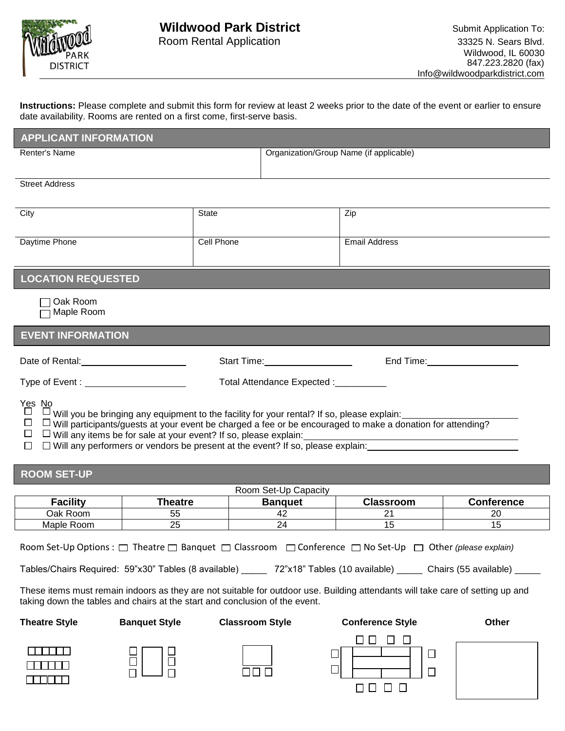

**Instructions:** Please complete and submit this form for review at least 2 weeks prior to the date of the event or earlier to ensure date availability. Rooms are rented on a first come, first-serve basis.

| <b>APPLICANT INFORMATION</b>                                                                                                                                                                                                                                                                                                                                                                                                                 |                      |                                                                                                                                                                                                                                |                                         |                                  |                       |  |  |
|----------------------------------------------------------------------------------------------------------------------------------------------------------------------------------------------------------------------------------------------------------------------------------------------------------------------------------------------------------------------------------------------------------------------------------------------|----------------------|--------------------------------------------------------------------------------------------------------------------------------------------------------------------------------------------------------------------------------|-----------------------------------------|----------------------------------|-----------------------|--|--|
| Renter's Name                                                                                                                                                                                                                                                                                                                                                                                                                                |                      |                                                                                                                                                                                                                                | Organization/Group Name (if applicable) |                                  |                       |  |  |
|                                                                                                                                                                                                                                                                                                                                                                                                                                              |                      |                                                                                                                                                                                                                                |                                         |                                  |                       |  |  |
| <b>Street Address</b>                                                                                                                                                                                                                                                                                                                                                                                                                        |                      |                                                                                                                                                                                                                                |                                         |                                  |                       |  |  |
| City                                                                                                                                                                                                                                                                                                                                                                                                                                         |                      | <b>State</b>                                                                                                                                                                                                                   |                                         | Zip                              |                       |  |  |
|                                                                                                                                                                                                                                                                                                                                                                                                                                              |                      |                                                                                                                                                                                                                                |                                         |                                  |                       |  |  |
| Daytime Phone                                                                                                                                                                                                                                                                                                                                                                                                                                |                      | Cell Phone                                                                                                                                                                                                                     |                                         | <b>Email Address</b>             |                       |  |  |
|                                                                                                                                                                                                                                                                                                                                                                                                                                              |                      |                                                                                                                                                                                                                                |                                         |                                  |                       |  |  |
| <b>LOCATION REQUESTED</b>                                                                                                                                                                                                                                                                                                                                                                                                                    |                      |                                                                                                                                                                                                                                |                                         |                                  |                       |  |  |
| Oak Room                                                                                                                                                                                                                                                                                                                                                                                                                                     |                      |                                                                                                                                                                                                                                |                                         |                                  |                       |  |  |
| Maple Room                                                                                                                                                                                                                                                                                                                                                                                                                                   |                      |                                                                                                                                                                                                                                |                                         |                                  |                       |  |  |
| <b>EVENT INFORMATION</b>                                                                                                                                                                                                                                                                                                                                                                                                                     |                      |                                                                                                                                                                                                                                |                                         |                                  |                       |  |  |
|                                                                                                                                                                                                                                                                                                                                                                                                                                              |                      | Start Time: Value of the Charles of the Charles of the Charles of the Charles of the Charles of the Charles of the Charles of the Charles of the Charles of the Charles of the Charles of the Charles of the Charles of the Ch |                                         | End Time: Note: Note: No. 1996   |                       |  |  |
| Type of Event : _______________________<br>Total Attendance Expected : __________                                                                                                                                                                                                                                                                                                                                                            |                      |                                                                                                                                                                                                                                |                                         |                                  |                       |  |  |
| Yes No<br>$\Box$<br>$\Box$ Will you be bringing any equipment to the facility for your rental? If so, please explain:<br>$\Box$<br>$\Box$ Will participants/guests at your event be charged a fee or be encouraged to make a donation for attending?<br>$\Box$<br>$\Box$ Will any items be for sale at your event? If so, please explain:<br>$\Box$ Will any performers or vendors be present at the event? If so, please explain:<br>$\Box$ |                      |                                                                                                                                                                                                                                |                                         |                                  |                       |  |  |
| <b>ROOM SET-UP</b>                                                                                                                                                                                                                                                                                                                                                                                                                           |                      |                                                                                                                                                                                                                                |                                         |                                  |                       |  |  |
|                                                                                                                                                                                                                                                                                                                                                                                                                                              | Room Set-Up Capacity |                                                                                                                                                                                                                                |                                         |                                  |                       |  |  |
| <b>Facility</b>                                                                                                                                                                                                                                                                                                                                                                                                                              | <b>Theatre</b>       |                                                                                                                                                                                                                                | <b>Banquet</b>                          | <b>Classroom</b>                 | <b>Conference</b>     |  |  |
| Oak Room<br>Maple Room                                                                                                                                                                                                                                                                                                                                                                                                                       | 55<br>25             |                                                                                                                                                                                                                                | 42<br>$\overline{24}$                   | 21<br>15                         | 20<br>$\overline{15}$ |  |  |
| Room Set-Up Options : □ Theatre □ Banquet □ Classroom □ Conference □ No Set-Up □ Other (please explain)<br>Tables/Chairs Required: 59"x30" Tables (8 available) _____ 72"x18" Tables (10 available) _____ Chairs (55 available) _____                                                                                                                                                                                                        |                      |                                                                                                                                                                                                                                |                                         |                                  |                       |  |  |
| These items must remain indoors as they are not suitable for outdoor use. Building attendants will take care of setting up and<br>taking down the tables and chairs at the start and conclusion of the event.                                                                                                                                                                                                                                |                      |                                                                                                                                                                                                                                |                                         |                                  |                       |  |  |
| <b>Theatre Style</b>                                                                                                                                                                                                                                                                                                                                                                                                                         | <b>Banquet Style</b> | <b>Classroom Style</b>                                                                                                                                                                                                         |                                         | <b>Conference Style</b>          | Other                 |  |  |
|                                                                                                                                                                                                                                                                                                                                                                                                                                              | $\Box$               |                                                                                                                                                                                                                                | $\Box$<br>$\perp$                       | $\Box$<br>$\Box$<br>$\Box$<br>ШШ |                       |  |  |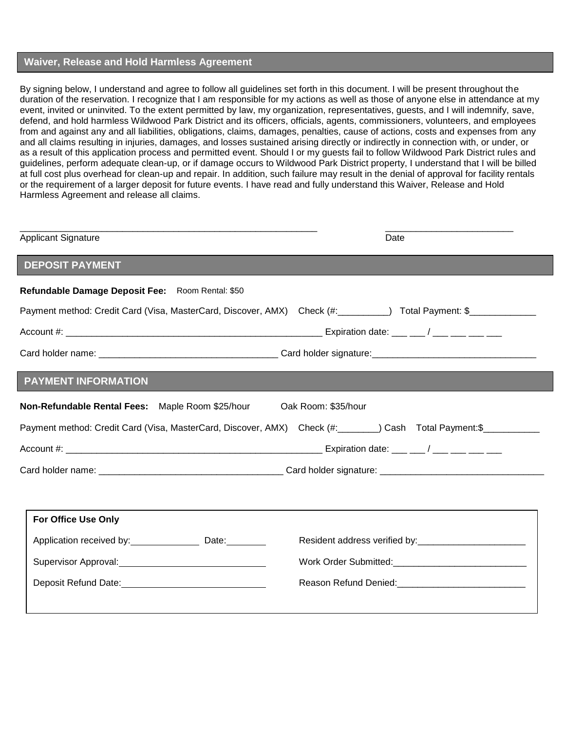## **Waiver, Release and Hold Harmless Agreement**

By signing below, I understand and agree to follow all guidelines set forth in this document. I will be present throughout the duration of the reservation. I recognize that I am responsible for my actions as well as those of anyone else in attendance at my event, invited or uninvited. To the extent permitted by law, my organization, representatives, guests, and I will indemnify, save, defend, and hold harmless Wildwood Park District and its officers, officials, agents, commissioners, volunteers, and employees from and against any and all liabilities, obligations, claims, damages, penalties, cause of actions, costs and expenses from any and all claims resulting in injuries, damages, and losses sustained arising directly or indirectly in connection with, or under, or as a result of this application process and permitted event. Should I or my guests fail to follow Wildwood Park District rules and guidelines, perform adequate clean-up, or if damage occurs to Wildwood Park District property, I understand that I will be billed at full cost plus overhead for clean-up and repair. In addition, such failure may result in the denial of approval for facility rentals or the requirement of a larger deposit for future events. I have read and fully understand this Waiver, Release and Hold Harmless Agreement and release all claims.

| <b>Applicant Signature</b>                                                                                                                                                                                                     | Date                                                                                                                                                                                                                                                 |  |  |
|--------------------------------------------------------------------------------------------------------------------------------------------------------------------------------------------------------------------------------|------------------------------------------------------------------------------------------------------------------------------------------------------------------------------------------------------------------------------------------------------|--|--|
| <b>DEPOSIT PAYMENT</b>                                                                                                                                                                                                         |                                                                                                                                                                                                                                                      |  |  |
| Refundable Damage Deposit Fee: Room Rental: \$50                                                                                                                                                                               |                                                                                                                                                                                                                                                      |  |  |
|                                                                                                                                                                                                                                | Payment method: Credit Card (Visa, MasterCard, Discover, AMX) Check (#: ________) Total Payment: \$____________                                                                                                                                      |  |  |
|                                                                                                                                                                                                                                |                                                                                                                                                                                                                                                      |  |  |
|                                                                                                                                                                                                                                |                                                                                                                                                                                                                                                      |  |  |
| <b>PAYMENT INFORMATION</b>                                                                                                                                                                                                     |                                                                                                                                                                                                                                                      |  |  |
| Non-Refundable Rental Fees: Maple Room \$25/hour                                                                                                                                                                               | Oak Room: \$35/hour                                                                                                                                                                                                                                  |  |  |
|                                                                                                                                                                                                                                | Payment method: Credit Card (Visa, MasterCard, Discover, AMX) Check (#: ______) Cash Total Payment: \$_________                                                                                                                                      |  |  |
|                                                                                                                                                                                                                                |                                                                                                                                                                                                                                                      |  |  |
|                                                                                                                                                                                                                                |                                                                                                                                                                                                                                                      |  |  |
|                                                                                                                                                                                                                                |                                                                                                                                                                                                                                                      |  |  |
| <b>For Office Use Only</b>                                                                                                                                                                                                     |                                                                                                                                                                                                                                                      |  |  |
| Application received by: Date: Date:                                                                                                                                                                                           | Resident address verified by:<br><u>[</u> [11][12] Dysimilar and address verified by:<br><u>[</u> [12] Dysimilar and address verified by:<br>[22] Dysimilar and address verified by:<br>[22] Dysimilar and address verified by:<br>[22] Dysimilar an |  |  |
|                                                                                                                                                                                                                                |                                                                                                                                                                                                                                                      |  |  |
| Deposit Refund Date: example and the set of the set of the set of the set of the set of the set of the set of the set of the set of the set of the set of the set of the set of the set of the set of the set of the set of th | Reason Refund Denied: Management Control of Reason Refund Denied:                                                                                                                                                                                    |  |  |
|                                                                                                                                                                                                                                |                                                                                                                                                                                                                                                      |  |  |